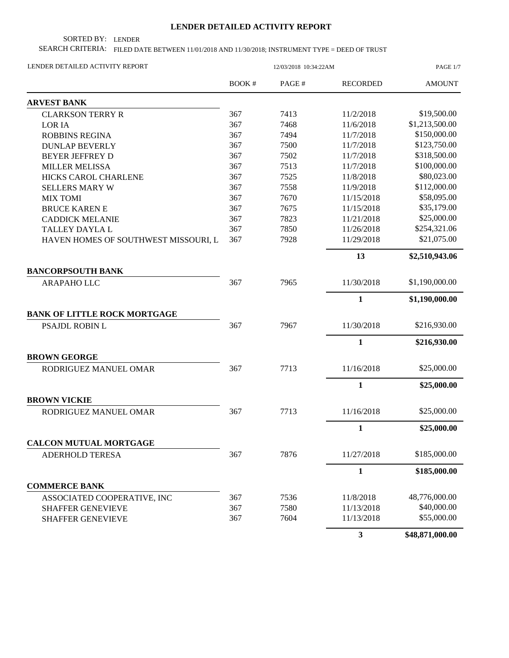## **LENDER DETAILED ACTIVITY REPORT**

SORTED BY: LENDER

SEARCH CRITERIA: FILED DATE BETWEEN 11/01/2018 AND 11/30/2018; INSTRUMENT TYPE = DEED OF TRUST

| LENDER DETAILED ACTIVITY REPORT      | 12/03/2018 10:34:22AM |       |                 | PAGE 1/7        |  |
|--------------------------------------|-----------------------|-------|-----------------|-----------------|--|
|                                      | BOOK#                 | PAGE# | <b>RECORDED</b> | <b>AMOUNT</b>   |  |
| <b>ARVEST BANK</b>                   |                       |       |                 |                 |  |
| <b>CLARKSON TERRY R</b>              | 367                   | 7413  | 11/2/2018       | \$19,500.00     |  |
| <b>LORIA</b>                         | 367                   | 7468  | 11/6/2018       | \$1,213,500.00  |  |
| <b>ROBBINS REGINA</b>                | 367                   | 7494  | 11/7/2018       | \$150,000.00    |  |
| <b>DUNLAP BEVERLY</b>                | 367                   | 7500  | 11/7/2018       | \$123,750.00    |  |
| <b>BEYER JEFFREY D</b>               | 367                   | 7502  | 11/7/2018       | \$318,500.00    |  |
| <b>MILLER MELISSA</b>                | 367                   | 7513  | 11/7/2018       | \$100,000.00    |  |
| HICKS CAROL CHARLENE                 | 367                   | 7525  | 11/8/2018       | \$80,023.00     |  |
| <b>SELLERS MARY W</b>                | 367                   | 7558  | 11/9/2018       | \$112,000.00    |  |
| <b>MIX TOMI</b>                      | 367                   | 7670  | 11/15/2018      | \$58,095.00     |  |
| <b>BRUCE KAREN E</b>                 | 367                   | 7675  | 11/15/2018      | \$35,179.00     |  |
| <b>CADDICK MELANIE</b>               | 367                   | 7823  | 11/21/2018      | \$25,000.00     |  |
| <b>TALLEY DAYLA L</b>                | 367                   | 7850  | 11/26/2018      | \$254,321.06    |  |
| HAVEN HOMES OF SOUTHWEST MISSOURI, L | 367                   | 7928  | 11/29/2018      | \$21,075.00     |  |
|                                      |                       |       | 13              | \$2,510,943.06  |  |
| <b>BANCORPSOUTH BANK</b>             |                       |       |                 |                 |  |
| <b>ARAPAHO LLC</b>                   | 367                   | 7965  | 11/30/2018      | \$1,190,000.00  |  |
|                                      |                       |       | $\mathbf{1}$    | \$1,190,000.00  |  |
| <b>BANK OF LITTLE ROCK MORTGAGE</b>  |                       |       |                 |                 |  |
| PSAJDL ROBIN L                       | 367                   | 7967  | 11/30/2018      | \$216,930.00    |  |
|                                      |                       |       | $\mathbf{1}$    | \$216,930.00    |  |
| <b>BROWN GEORGE</b>                  |                       |       |                 |                 |  |
| RODRIGUEZ MANUEL OMAR                | 367                   | 7713  | 11/16/2018      | \$25,000.00     |  |
|                                      |                       |       | $\mathbf{1}$    | \$25,000.00     |  |
| <b>BROWN VICKIE</b>                  |                       |       |                 |                 |  |
| RODRIGUEZ MANUEL OMAR                | 367                   | 7713  | 11/16/2018      | \$25,000.00     |  |
|                                      |                       |       | $\mathbf{1}$    | \$25,000.00     |  |
| <b>CALCON MUTUAL MORTGAGE</b>        |                       |       |                 |                 |  |
| ADERHOLD TERESA                      | 367                   | 7876  | 11/27/2018      | \$185,000.00    |  |
|                                      |                       |       | 1               | \$185,000.00    |  |
| <b>COMMERCE BANK</b>                 |                       |       |                 |                 |  |
| ASSOCIATED COOPERATIVE, INC          | 367                   | 7536  | 11/8/2018       | 48,776,000.00   |  |
| <b>SHAFFER GENEVIEVE</b>             | 367                   | 7580  | 11/13/2018      | \$40,000.00     |  |
| <b>SHAFFER GENEVIEVE</b>             | 367                   | 7604  | 11/13/2018      | \$55,000.00     |  |
|                                      |                       |       | $\mathbf{3}$    | \$48,871,000.00 |  |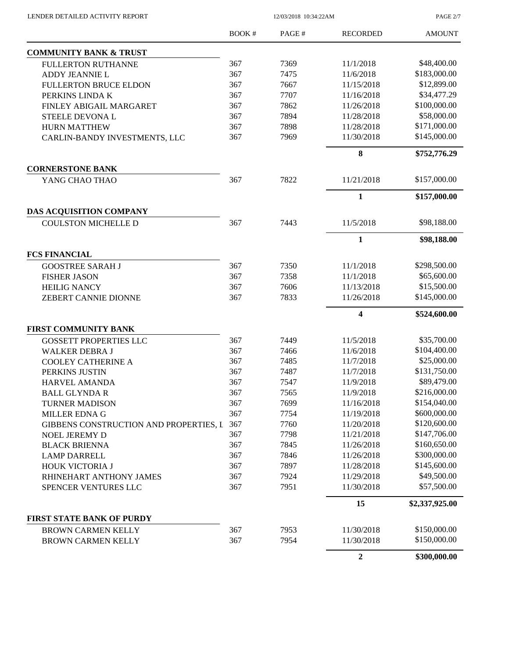12/03/2018 10:34:22AM

PAGE 2/7

|                                        | <b>BOOK#</b> | PAGE# | <b>RECORDED</b>         | <b>AMOUNT</b>  |
|----------------------------------------|--------------|-------|-------------------------|----------------|
| <b>COMMUNITY BANK &amp; TRUST</b>      |              |       |                         |                |
| <b>FULLERTON RUTHANNE</b>              | 367          | 7369  | 11/1/2018               | \$48,400.00    |
| ADDY JEANNIE L                         | 367          | 7475  | 11/6/2018               | \$183,000.00   |
| <b>FULLERTON BRUCE ELDON</b>           | 367          | 7667  | 11/15/2018              | \$12,899.00    |
| PERKINS LINDA K                        | 367          | 7707  | 11/16/2018              | \$34,477.29    |
| FINLEY ABIGAIL MARGARET                | 367          | 7862  | 11/26/2018              | \$100,000.00   |
| <b>STEELE DEVONAL</b>                  | 367          | 7894  | 11/28/2018              | \$58,000.00    |
| <b>HURN MATTHEW</b>                    | 367          | 7898  | 11/28/2018              | \$171,000.00   |
| CARLIN-BANDY INVESTMENTS, LLC          | 367          | 7969  | 11/30/2018              | \$145,000.00   |
|                                        |              |       | 8                       | \$752,776.29   |
| <b>CORNERSTONE BANK</b>                |              |       |                         |                |
| YANG CHAO THAO                         | 367          | 7822  | 11/21/2018              | \$157,000.00   |
|                                        |              |       | $\mathbf{1}$            | \$157,000.00   |
| DAS ACQUISITION COMPANY                |              |       |                         |                |
| <b>COULSTON MICHELLE D</b>             | 367          | 7443  | 11/5/2018               | \$98,188.00    |
|                                        |              |       | 1                       | \$98,188.00    |
| <b>FCS FINANCIAL</b>                   |              |       |                         |                |
| <b>GOOSTREE SARAH J</b>                | 367          | 7350  | 11/1/2018               | \$298,500.00   |
| <b>FISHER JASON</b>                    | 367          | 7358  | 11/1/2018               | \$65,600.00    |
| <b>HEILIG NANCY</b>                    | 367          | 7606  | 11/13/2018              | \$15,500.00    |
| ZEBERT CANNIE DIONNE                   | 367          | 7833  | 11/26/2018              | \$145,000.00   |
|                                        |              |       | $\overline{\mathbf{4}}$ | \$524,600.00   |
| <b>FIRST COMMUNITY BANK</b>            |              |       |                         |                |
| <b>GOSSETT PROPERTIES LLC</b>          | 367          | 7449  | 11/5/2018               | \$35,700.00    |
| <b>WALKER DEBRA J</b>                  | 367          | 7466  | 11/6/2018               | \$104,400.00   |
| <b>COOLEY CATHERINE A</b>              | 367          | 7485  | 11/7/2018               | \$25,000.00    |
| PERKINS JUSTIN                         | 367          | 7487  | 11/7/2018               | \$131,750.00   |
| HARVEL AMANDA                          | 367          | 7547  | 11/9/2018               | \$89,479.00    |
| <b>BALL GLYNDA R</b>                   | 367          | 7565  | 11/9/2018               | \$216,000.00   |
| <b>TURNER MADISON</b>                  | 367          | 7699  | 11/16/2018              | \$154,040.00   |
| MILLER EDNA G                          | 367          | 7754  | 11/19/2018              | \$600,000.00   |
| GIBBENS CONSTRUCTION AND PROPERTIES, L | 367          | 7760  | 11/20/2018              | \$120,600.00   |
| <b>NOEL JEREMY D</b>                   | 367          | 7798  | 11/21/2018              | \$147,706.00   |
| <b>BLACK BRIENNA</b>                   | 367          | 7845  | 11/26/2018              | \$160,650.00   |
| <b>LAMP DARRELL</b>                    | 367          | 7846  | 11/26/2018              | \$300,000.00   |
| HOUK VICTORIA J                        | 367          | 7897  | 11/28/2018              | \$145,600.00   |
| RHINEHART ANTHONY JAMES                | 367          | 7924  | 11/29/2018              | \$49,500.00    |
| SPENCER VENTURES LLC                   | 367          | 7951  | 11/30/2018              | \$57,500.00    |
|                                        |              |       | 15                      | \$2,337,925.00 |
| <b>FIRST STATE BANK OF PURDY</b>       |              |       |                         |                |
| <b>BROWN CARMEN KELLY</b>              | 367          | 7953  | 11/30/2018              | \$150,000.00   |
| <b>BROWN CARMEN KELLY</b>              | 367          | 7954  | 11/30/2018              | \$150,000.00   |
|                                        |              |       | $\mathbf 2$             | \$300,000.00   |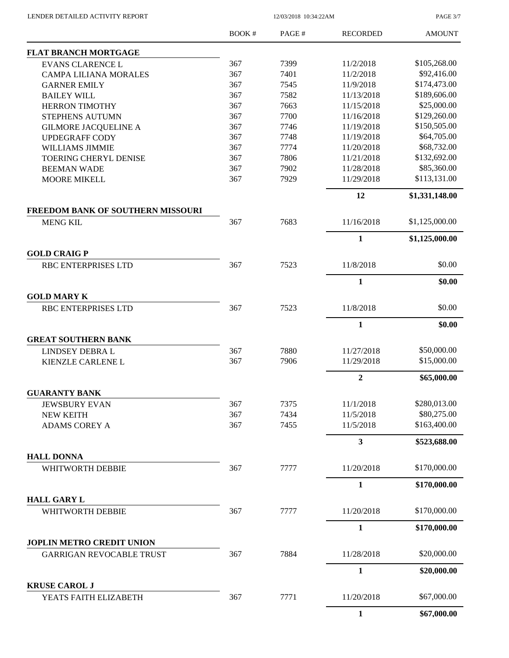LENDER DETAILED ACTIVITY REPORT 12/03/2018 10:34:22AM

PAGE 3/7

|                                                              | BOOK# | PAGE# | <b>RECORDED</b> | <b>AMOUNT</b>  |
|--------------------------------------------------------------|-------|-------|-----------------|----------------|
| <b>FLAT BRANCH MORTGAGE</b>                                  |       |       |                 |                |
| <b>EVANS CLARENCE L</b>                                      | 367   | 7399  | 11/2/2018       | \$105,268.00   |
| <b>CAMPA LILIANA MORALES</b>                                 | 367   | 7401  | 11/2/2018       | \$92,416.00    |
| <b>GARNER EMILY</b>                                          | 367   | 7545  | 11/9/2018       | \$174,473.00   |
| <b>BAILEY WILL</b>                                           | 367   | 7582  | 11/13/2018      | \$189,606.00   |
| <b>HERRON TIMOTHY</b>                                        | 367   | 7663  | 11/15/2018      | \$25,000.00    |
| STEPHENS AUTUMN                                              | 367   | 7700  | 11/16/2018      | \$129,260.00   |
| <b>GILMORE JACQUELINE A</b>                                  | 367   | 7746  | 11/19/2018      | \$150,505.00   |
| <b>UPDEGRAFF CODY</b>                                        | 367   | 7748  | 11/19/2018      | \$64,705.00    |
| WILLIAMS JIMMIE                                              | 367   | 7774  | 11/20/2018      | \$68,732.00    |
| <b>TOERING CHERYL DENISE</b>                                 | 367   | 7806  | 11/21/2018      | \$132,692.00   |
| <b>BEEMAN WADE</b>                                           | 367   | 7902  | 11/28/2018      | \$85,360.00    |
| <b>MOORE MIKELL</b>                                          | 367   | 7929  | 11/29/2018      | \$113,131.00   |
|                                                              |       |       | 12              | \$1,331,148.00 |
| <b>FREEDOM BANK OF SOUTHERN MISSOURI</b><br><b>MENG KIL</b>  | 367   | 7683  | 11/16/2018      | \$1,125,000.00 |
|                                                              |       |       | $\mathbf{1}$    | \$1,125,000.00 |
| <b>GOLD CRAIG P</b>                                          |       |       |                 |                |
| <b>RBC ENTERPRISES LTD</b>                                   | 367   | 7523  | 11/8/2018       | \$0.00         |
|                                                              |       |       | $\mathbf{1}$    | \$0.00         |
| <b>GOLD MARY K</b>                                           |       |       |                 |                |
| RBC ENTERPRISES LTD                                          | 367   | 7523  | 11/8/2018       | \$0.00         |
|                                                              |       |       | $\mathbf{1}$    | \$0.00         |
| <b>GREAT SOUTHERN BANK</b>                                   |       |       |                 |                |
| LINDSEY DEBRA L                                              | 367   | 7880  | 11/27/2018      | \$50,000.00    |
| KIENZLE CARLENE L                                            | 367   | 7906  | 11/29/2018      | \$15,000.00    |
|                                                              |       |       | $\overline{2}$  | \$65,000.00    |
| <b>GUARANTY BANK</b>                                         |       |       |                 |                |
| <b>JEWSBURY EVAN</b>                                         | 367   | 7375  | 11/1/2018       | \$280,013.00   |
| <b>NEW KEITH</b>                                             | 367   | 7434  | 11/5/2018       | \$80,275.00    |
| <b>ADAMS COREY A</b>                                         | 367   | 7455  | 11/5/2018       | \$163,400.00   |
|                                                              |       |       | $\mathbf{3}$    | \$523,688.00   |
| <b>HALL DONNA</b><br>WHITWORTH DEBBIE                        | 367   | 7777  | 11/20/2018      | \$170,000.00   |
|                                                              |       |       |                 |                |
| <b>HALL GARY L</b>                                           |       |       | $\mathbf{1}$    | \$170,000.00   |
| <b>WHITWORTH DEBBIE</b>                                      | 367   | 7777  | 11/20/2018      | \$170,000.00   |
|                                                              |       |       |                 |                |
|                                                              |       |       | $\mathbf{1}$    | \$170,000.00   |
| JOPLIN METRO CREDIT UNION<br><b>GARRIGAN REVOCABLE TRUST</b> | 367   | 7884  | 11/28/2018      | \$20,000.00    |
|                                                              |       |       | $\mathbf{1}$    | \$20,000.00    |
| <b>KRUSE CAROL J</b>                                         |       |       |                 |                |
| YEATS FAITH ELIZABETH                                        | 367   | 7771  | 11/20/2018      | \$67,000.00    |
|                                                              |       |       | $\mathbf{1}$    | \$67,000.00    |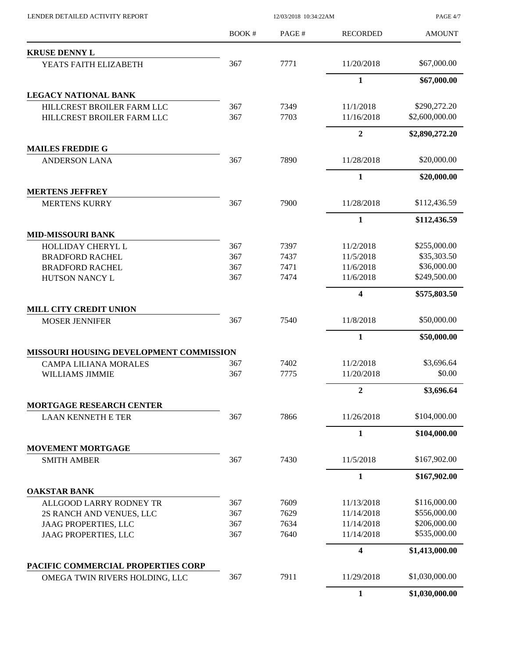| LENDER DETAILED ACTIVITY REPORT                    | 12/03/2018 10:34:22AM |              | PAGE 4/7               |                             |
|----------------------------------------------------|-----------------------|--------------|------------------------|-----------------------------|
|                                                    | <b>BOOK#</b>          | PAGE#        | <b>RECORDED</b>        | <b>AMOUNT</b>               |
| <b>KRUSE DENNY L</b>                               |                       |              |                        |                             |
| YEATS FAITH ELIZABETH                              | 367                   | 7771         | 11/20/2018             | \$67,000.00                 |
|                                                    |                       |              | 1                      | \$67,000.00                 |
| LEGACY NATIONAL BANK                               |                       |              |                        |                             |
| HILLCREST BROILER FARM LLC                         | 367                   | 7349         | 11/1/2018              | \$290,272.20                |
| HILLCREST BROILER FARM LLC                         | 367                   | 7703         | 11/16/2018             | \$2,600,000.00              |
|                                                    |                       |              | $\overline{2}$         | \$2,890,272.20              |
| <b>MAILES FREDDIE G</b>                            |                       |              |                        |                             |
| <b>ANDERSON LANA</b>                               | 367                   | 7890         | 11/28/2018             | \$20,000.00                 |
|                                                    |                       |              | 1                      | \$20,000.00                 |
| <b>MERTENS JEFFREY</b>                             |                       |              |                        |                             |
| <b>MERTENS KURRY</b>                               | 367                   | 7900         | 11/28/2018             | \$112,436.59                |
|                                                    |                       |              | $\mathbf{1}$           | \$112,436.59                |
| <b>MID-MISSOURI BANK</b>                           |                       |              |                        |                             |
| <b>HOLLIDAY CHERYL L</b><br><b>BRADFORD RACHEL</b> | 367<br>367            | 7397<br>7437 | 11/2/2018<br>11/5/2018 | \$255,000.00<br>\$35,303.50 |
| <b>BRADFORD RACHEL</b>                             | 367                   | 7471         | 11/6/2018              | \$36,000.00                 |
| HUTSON NANCY L                                     | 367                   | 7474         | 11/6/2018              | \$249,500.00                |
|                                                    |                       |              | 4                      | \$575,803.50                |
| MILL CITY CREDIT UNION                             |                       |              |                        |                             |
| <b>MOSER JENNIFER</b>                              | 367                   | 7540         | 11/8/2018              | \$50,000.00                 |
|                                                    |                       |              | $\mathbf{1}$           | \$50,000.00                 |
| MISSOURI HOUSING DEVELOPMENT COMMISSION            |                       |              |                        |                             |
| <b>CAMPA LILIANA MORALES</b>                       | 367                   | 7402         | 11/2/2018              | \$3,696.64                  |
| WILLIAMS JIMMIE                                    | 367                   | 7775         | 11/20/2018             | \$0.00                      |
|                                                    |                       |              | $\boldsymbol{2}$       | \$3,696.64                  |
| <b>MORTGAGE RESEARCH CENTER</b>                    |                       |              |                        | \$104,000.00                |
| <b>LAAN KENNETH E TER</b>                          | 367                   | 7866         | 11/26/2018             |                             |
| <b>MOVEMENT MORTGAGE</b>                           |                       |              | 1                      | \$104,000.00                |
| <b>SMITH AMBER</b>                                 | 367                   | 7430         | 11/5/2018              | \$167,902.00                |
|                                                    |                       |              | 1                      | \$167,902.00                |
| <b>OAKSTAR BANK</b>                                |                       |              |                        |                             |
| ALLGOOD LARRY RODNEY TR                            | 367                   | 7609         | 11/13/2018             | \$116,000.00                |
| 2S RANCH AND VENUES, LLC                           | 367                   | 7629         | 11/14/2018             | \$556,000.00                |
| <b>JAAG PROPERTIES, LLC</b>                        | 367                   | 7634         | 11/14/2018             | \$206,000.00                |
| <b>JAAG PROPERTIES, LLC</b>                        | 367                   | 7640         | 11/14/2018             | \$535,000.00                |
|                                                    |                       |              | 4                      | \$1,413,000.00              |
| PACIFIC COMMERCIAL PROPERTIES CORP                 |                       |              |                        |                             |
| OMEGA TWIN RIVERS HOLDING, LLC                     | 367                   | 7911         | 11/29/2018             | \$1,030,000.00              |
|                                                    |                       |              | $\mathbf{1}$           | \$1,030,000.00              |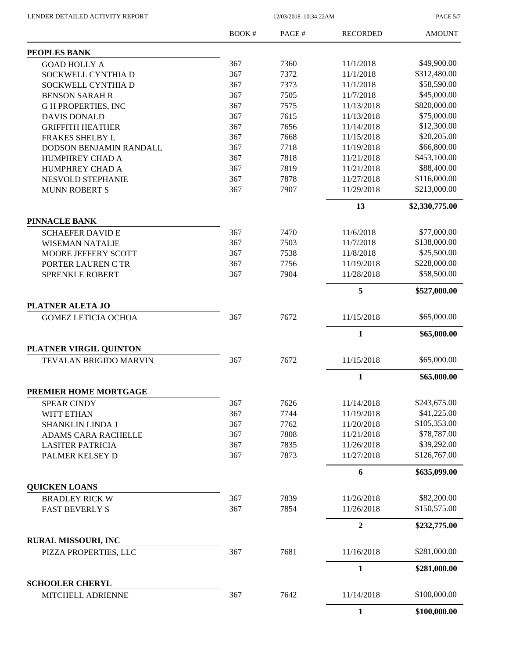LENDER DETAILED ACTIVITY REPORT 12/03/2018 10:34:22AM

PAGE 5/7

|                                             | <b>BOOK#</b> | PAGE# | <b>RECORDED</b> | <b>AMOUNT</b>  |
|---------------------------------------------|--------------|-------|-----------------|----------------|
| PEOPLES BANK                                |              |       |                 |                |
| <b>GOAD HOLLY A</b>                         | 367          | 7360  | 11/1/2018       | \$49,900.00    |
| SOCKWELL CYNTHIA D                          | 367          | 7372  | 11/1/2018       | \$312,480.00   |
| <b>SOCKWELL CYNTHIA D</b>                   | 367          | 7373  | 11/1/2018       | \$58,590.00    |
| <b>BENSON SARAH R</b>                       | 367          | 7505  | 11/7/2018       | \$45,000.00    |
| <b>GH PROPERTIES, INC</b>                   | 367          | 7575  | 11/13/2018      | \$820,000.00   |
| <b>DAVIS DONALD</b>                         | 367          | 7615  | 11/13/2018      | \$75,000.00    |
| <b>GRIFFITH HEATHER</b>                     | 367          | 7656  | 11/14/2018      | \$12,300.00    |
| <b>FRAKES SHELBY L</b>                      | 367          | 7668  | 11/15/2018      | \$20,205.00    |
| DODSON BENJAMIN RANDALL                     | 367          | 7718  | 11/19/2018      | \$66,800.00    |
| HUMPHREY CHAD A                             | 367          | 7818  | 11/21/2018      | \$453,100.00   |
| HUMPHREY CHAD A                             | 367          | 7819  | 11/21/2018      | \$88,400.00    |
| NESVOLD STEPHANIE                           | 367          | 7878  | 11/27/2018      | \$116,000.00   |
| <b>MUNN ROBERT S</b>                        | 367          | 7907  | 11/29/2018      | \$213,000.00   |
|                                             |              |       | 13              | \$2,330,775.00 |
| <b>PINNACLE BANK</b>                        |              |       |                 |                |
| <b>SCHAEFER DAVID E</b>                     | 367          | 7470  | 11/6/2018       | \$77,000.00    |
| <b>WISEMAN NATALIE</b>                      | 367          | 7503  | 11/7/2018       | \$138,000.00   |
| MOORE JEFFERY SCOTT                         | 367          | 7538  | 11/8/2018       | \$25,500.00    |
| PORTER LAUREN C TR                          | 367          | 7756  | 11/19/2018      | \$228,000.00   |
| <b>SPRENKLE ROBERT</b>                      | 367          | 7904  | 11/28/2018      | \$58,500.00    |
|                                             |              |       | 5               | \$527,000.00   |
| PLATNER ALETA JO                            |              |       |                 |                |
| <b>GOMEZ LETICIA OCHOA</b>                  | 367          | 7672  | 11/15/2018      | \$65,000.00    |
|                                             |              |       | $\mathbf{1}$    | \$65,000.00    |
| PLATNER VIRGIL QUINTON                      |              |       |                 |                |
| <b>TEVALAN BRIGIDO MARVIN</b>               | 367          | 7672  | 11/15/2018      | \$65,000.00    |
|                                             |              |       | 1               | \$65,000.00    |
| PREMIER HOME MORTGAGE                       |              |       |                 |                |
| <b>SPEAR CINDY</b>                          | 367          | 7626  | 11/14/2018      | \$243,675.00   |
| WITT ETHAN                                  | 367          | 7744  | 11/19/2018      | \$41,225.00    |
| SHANKLIN LINDA J                            | 367          | 7762  | 11/20/2018      | \$105,353.00   |
| ADAMS CARA RACHELLE                         | 367          | 7808  | 11/21/2018      | \$78,787.00    |
| <b>LASITER PATRICIA</b>                     | 367          | 7835  | 11/26/2018      | \$39,292.00    |
| PALMER KELSEY D                             | 367          | 7873  | 11/27/2018      | \$126,767.00   |
|                                             |              |       | 6               | \$635,099.00   |
| <b>QUICKEN LOANS</b>                        |              |       |                 |                |
| <b>BRADLEY RICK W</b>                       | 367          | 7839  | 11/26/2018      | \$82,200.00    |
| <b>FAST BEVERLY S</b>                       | 367          | 7854  | 11/26/2018      | \$150,575.00   |
|                                             |              |       | $\mathbf{2}$    | \$232,775.00   |
| <b>RURAL MISSOURI, INC</b>                  | 367          | 7681  | 11/16/2018      | \$281,000.00   |
| PIZZA PROPERTIES, LLC                       |              |       |                 |                |
|                                             |              |       | $\mathbf{1}$    | \$281,000.00   |
| <b>SCHOOLER CHERYL</b><br>MITCHELL ADRIENNE | 367          | 7642  | 11/14/2018      | \$100,000.00   |
|                                             |              |       | $\mathbf{1}$    | \$100,000.00   |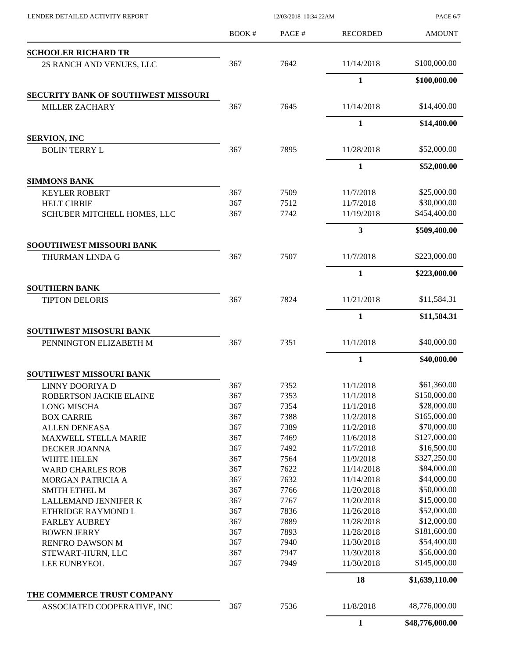| LENDER DETAILED ACTIVITY REPORT     |              | PAGE 6/7 |                            |                 |
|-------------------------------------|--------------|----------|----------------------------|-----------------|
|                                     | <b>BOOK#</b> | PAGE#    | <b>RECORDED</b>            | <b>AMOUNT</b>   |
| <b>SCHOOLER RICHARD TR</b>          |              |          |                            |                 |
| 2S RANCH AND VENUES, LLC            | 367          | 7642     | 11/14/2018                 | \$100,000.00    |
|                                     |              |          | $\mathbf{1}$               | \$100,000.00    |
| SECURITY BANK OF SOUTHWEST MISSOURI |              |          |                            |                 |
| <b>MILLER ZACHARY</b>               | 367          | 7645     | 11/14/2018                 | \$14,400.00     |
|                                     |              |          | $\mathbf{1}$               | \$14,400.00     |
| <b>SERVION, INC</b>                 | 367          | 7895     |                            | \$52,000.00     |
| <b>BOLIN TERRY L</b>                |              |          | 11/28/2018<br>$\mathbf{1}$ |                 |
| <b>SIMMONS BANK</b>                 |              |          |                            | \$52,000.00     |
| <b>KEYLER ROBERT</b>                | 367          | 7509     | 11/7/2018                  | \$25,000.00     |
| <b>HELT CIRBIE</b>                  | 367          | 7512     | 11/7/2018                  | \$30,000.00     |
| SCHUBER MITCHELL HOMES, LLC         | 367          | 7742     | 11/19/2018                 | \$454,400.00    |
|                                     |              |          | $\mathbf{3}$               | \$509,400.00    |
| SOOUTHWEST MISSOURI BANK            |              |          |                            |                 |
| THURMAN LINDA G                     | 367          | 7507     | 11/7/2018                  | \$223,000.00    |
| <b>SOUTHERN BANK</b>                |              |          | $\mathbf{1}$               | \$223,000.00    |
| <b>TIPTON DELORIS</b>               | 367          | 7824     | 11/21/2018                 | \$11,584.31     |
|                                     |              |          | $\mathbf{1}$               | \$11,584.31     |
| SOUTHWEST MISOSURI BANK             |              |          |                            |                 |
| PENNINGTON ELIZABETH M              | 367          | 7351     | 11/1/2018                  | \$40,000.00     |
|                                     |              |          | $\mathbf{1}$               | \$40,000.00     |
| <b>SOUTHWEST MISSOURI BANK</b>      |              |          |                            |                 |
| LINNY DOORIYA D                     | 367          | 7352     | 11/1/2018                  | \$61,360.00     |
| ROBERTSON JACKIE ELAINE             | 367          | 7353     | 11/1/2018                  | \$150,000.00    |
| <b>LONG MISCHA</b>                  | 367          | 7354     | 11/1/2018                  | \$28,000.00     |
| <b>BOX CARRIE</b>                   | 367          | 7388     | 11/2/2018                  | \$165,000.00    |
| <b>ALLEN DENEASA</b>                | 367          | 7389     | 11/2/2018                  | \$70,000.00     |
| <b>MAXWELL STELLA MARIE</b>         | 367          | 7469     | 11/6/2018                  | \$127,000.00    |
| DECKER JOANNA                       | 367          | 7492     | 11/7/2018                  | \$16,500.00     |
| WHITE HELEN                         | 367          | 7564     | 11/9/2018                  | \$327,250.00    |
| <b>WARD CHARLES ROB</b>             | 367          | 7622     | 11/14/2018                 | \$84,000.00     |
| MORGAN PATRICIA A                   | 367          | 7632     | 11/14/2018                 | \$44,000.00     |
| <b>SMITH ETHEL M</b>                | 367          | 7766     | 11/20/2018                 | \$50,000.00     |
| LALLEMAND JENNIFER K                | 367          | 7767     | 11/20/2018                 | \$15,000.00     |
| ETHRIDGE RAYMOND L                  | 367          | 7836     | 11/26/2018                 | \$52,000.00     |
| <b>FARLEY AUBREY</b>                | 367          | 7889     | 11/28/2018                 | \$12,000.00     |
| <b>BOWEN JERRY</b>                  | 367          | 7893     | 11/28/2018                 | \$181,600.00    |
| RENFRO DAWSON M                     | 367          | 7940     | 11/30/2018                 | \$54,400.00     |
| STEWART-HURN, LLC                   | 367          | 7947     | 11/30/2018                 | \$56,000.00     |
| LEE EUNBYEOL                        | 367          | 7949     | 11/30/2018                 | \$145,000.00    |
|                                     |              |          | 18                         | \$1,639,110.00  |
| THE COMMERCE TRUST COMPANY          |              |          |                            |                 |
| ASSOCIATED COOPERATIVE, INC         | 367          | 7536     | 11/8/2018                  | 48,776,000.00   |
|                                     |              |          | $\mathbf{1}$               | \$48,776,000.00 |